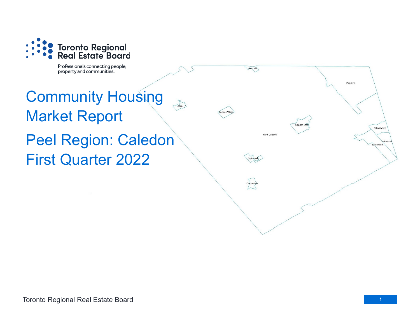

Professionals connecting people, property and communities.

## Community Housing  $A<sub>then</sub>$ Market Report Peel Region: Caledon First Quarter 2022

Mono Mills

Cheltenha

**Rural Caledon** 

**Bolton North** 

**Bolton Eas** Bolton West

Palgrave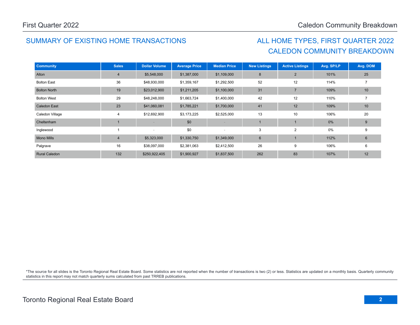## SUMMARY OF EXISTING HOME TRANSACTIONS ALL HOME TYPES, FIRST QUARTER 2022

## CALEDON COMMUNITY BREAKDOWN

| <b>Community</b>     | <b>Sales</b>   | <b>Dollar Volume</b> | <b>Average Price</b> | <b>Median Price</b>      | <b>New Listings</b> | <b>Active Listings</b> | Avg. SP/LP | Avg. DOM |
|----------------------|----------------|----------------------|----------------------|--------------------------|---------------------|------------------------|------------|----------|
| Alton                | $\overline{4}$ | \$5,548,000          | \$1,387,000          | \$1,109,000              | 8                   | 2                      | 101%       | 25       |
| <b>Bolton East</b>   | 36             | \$48,930,000         | \$1,359,167          | \$1,292,500              | 52                  | 12                     | 114%       |          |
| <b>Bolton North</b>  | 19             | \$23,012,900         | \$1,211,205          | \$1,100,000              | 31                  | $\overline{7}$         | 109%       | 10       |
| <b>Bolton West</b>   | 29             | \$48,248,000         | \$1,663,724          | \$1,400,000              | 42                  | 12                     | 110%       |          |
| <b>Caledon East</b>  | 23             | \$41,060,081         | \$1,785,221          | \$1,700,000              | 41                  | 12                     | 109%       | 10       |
| Caledon Village      | 4              | \$12,692,900         | \$3,173,225          | \$2,525,000              | 13                  | 10                     | 106%       | 20       |
| Cheltenham           |                |                      | \$0                  |                          |                     |                        | 0%         | 9        |
| Inglewood            |                |                      | \$0                  | $\overline{\phantom{a}}$ | 3                   | $\overline{2}$         | 0%         | 9        |
| <b>Mono Mills</b>    | $\overline{4}$ | \$5,323,000          | \$1,330,750          | \$1,349,000              | 6                   |                        | 112%       | 6        |
| Palgrave             | 16             | \$38,097,000         | \$2,381,063          | \$2,412,500              | 26                  | 9                      | 106%       | 6        |
| <b>Rural Caledon</b> | 132            | \$250,922,405        | \$1,900,927          | \$1,837,500              | 262                 | 83                     | 107%       | 12       |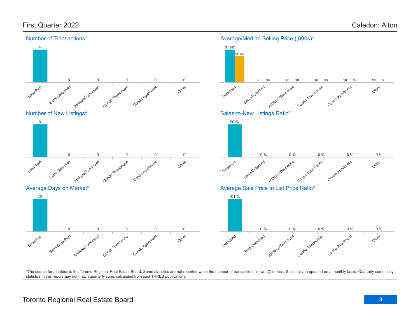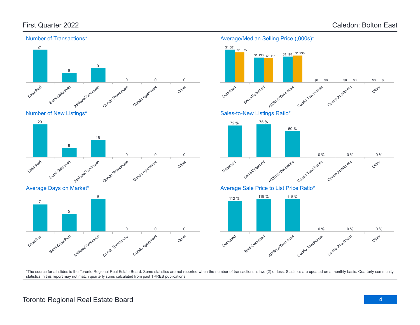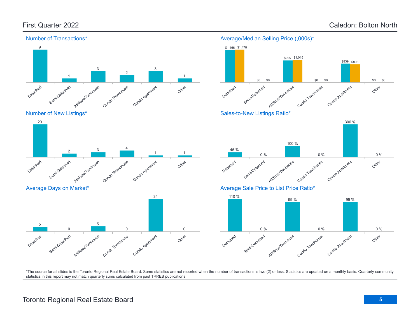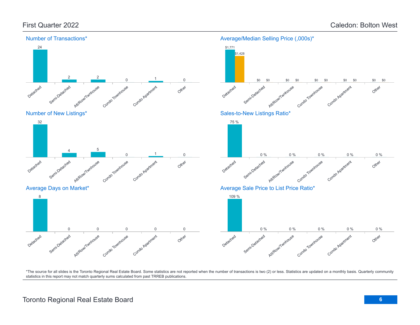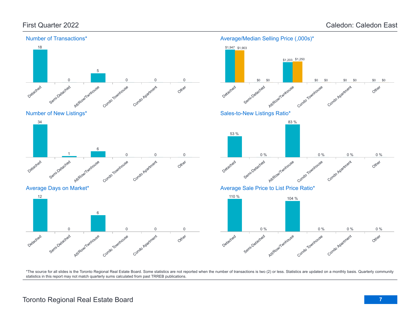

## Average/Median Selling Price (,000s)\*

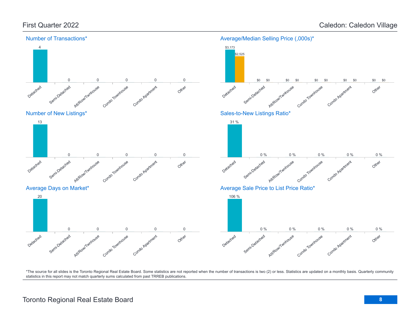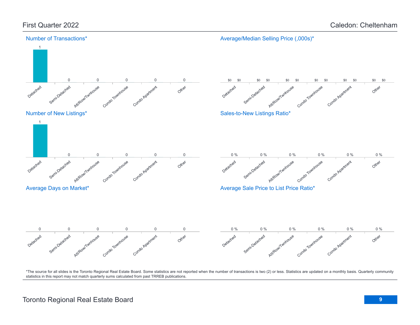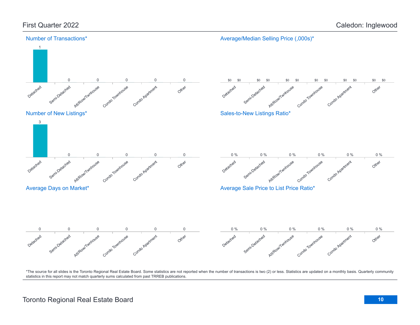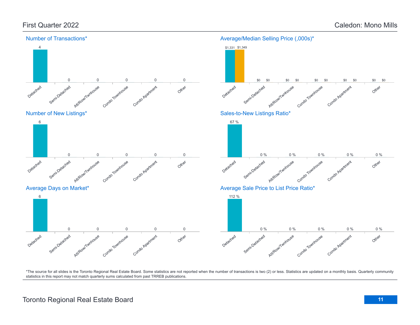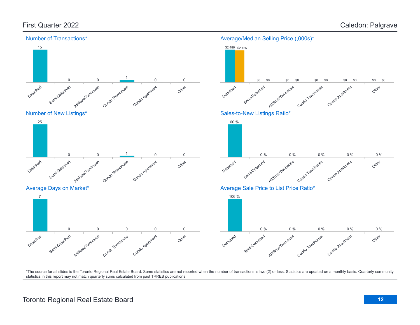